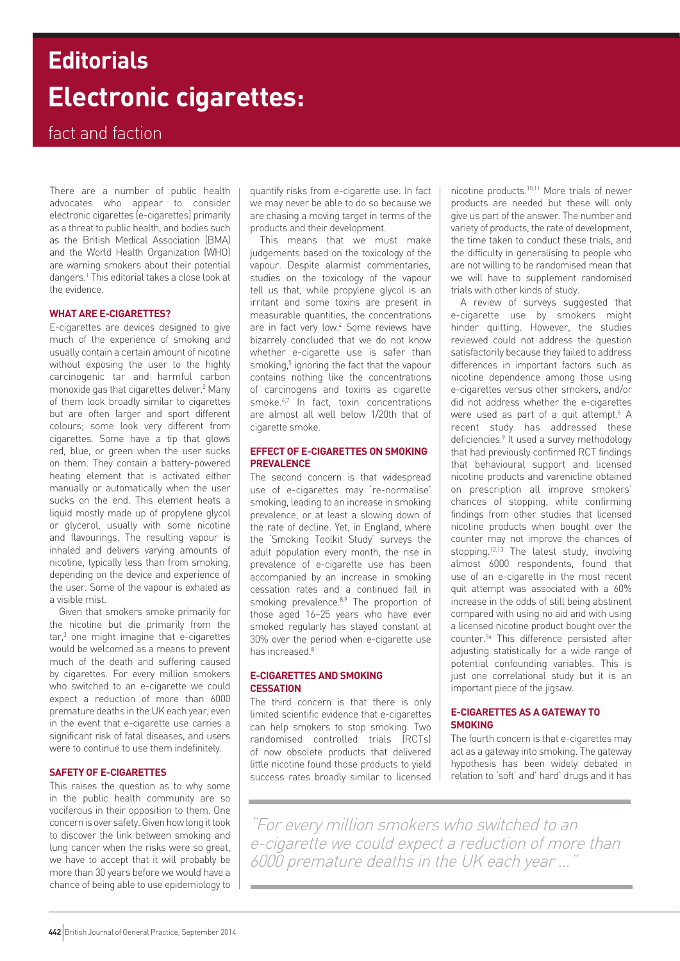# **Electronic cigarettes: Editorials**

# fact and faction

There are a number of public health advocates who appear to consider electronic cigarettes (e-cigarettes) primarily as a threat to public health, and bodies such as the British Medical Association (BMA) and the World Health Organization (WHO) are warning smokers about their potential dangers.1 This editorial takes a close look at the evidence.

## **What are e-cigarettes?**

E-cigarettes are devices designed to give much of the experience of smoking and usually contain a certain amount of nicotine without exposing the user to the highly carcinogenic tar and harmful carbon monoxide gas that cigarettes deliver.<sup>2</sup> Many of them look broadly similar to cigarettes but are often larger and sport different colours; some look very different from cigarettes. Some have a tip that glows red, blue, or green when the user sucks on them. They contain a battery-powered heating element that is activated either manually or automatically when the user sucks on the end. This element heats a liquid mostly made up of propylene glycol or glycerol, usually with some nicotine and flavourings. The resulting vapour is inhaled and delivers varying amounts of nicotine, typically less than from smoking, depending on the device and experience of the user. Some of the vapour is exhaled as a visible mist.

Given that smokers smoke primarily for the nicotine but die primarily from the tar,<sup>3</sup> one might imagine that e-cigarettes would be welcomed as a means to prevent much of the death and suffering caused by cigarettes. For every million smokers who switched to an e-cigarette we could expect a reduction of more than 6000 premature deaths in the UK each year, even in the event that e-cigarette use carries a significant risk of fatal diseases, and users were to continue to use them indefinitely.

## **Safety of e-cigarettes**

This raises the question as to why some in the public health community are so vociferous in their opposition to them. One concern is over safety. Given how long it took to discover the link between smoking and lung cancer when the risks were so great, we have to accept that it will probably be more than 30 years before we would have a chance of being able to use epidemiology to

quantify risks from e-cigarette use. In fact we may never be able to do so because we are chasing a moving target in terms of the products and their development.

This means that we must make judgements based on the toxicology of the vapour. Despite alarmist commentaries, studies on the toxicology of the vapour tell us that, while propylene glycol is an irritant and some toxins are present in measurable quantities, the concentrations are in fact very low.<sup>4</sup> Some reviews have bizarrely concluded that we do not know whether e-cigarette use is safer than smoking,<sup>5</sup> ignoring the fact that the vapour contains nothing like the concentrations of carcinogens and toxins as cigarette smoke.<sup>6,7</sup> In fact, toxin concentrations are almost all well below 1/20th that of cigarette smoke.

#### **Effect of e-cigarettes on smoking prevalence**

The second concern is that widespread use of e-cigarettes may 're-normalise' smoking, leading to an increase in smoking prevalence, or at least a slowing down of the rate of decline. Yet, in England, where the 'Smoking Toolkit Study' surveys the adult population every month, the rise in prevalence of e-cigarette use has been accompanied by an increase in smoking cessation rates and a continued fall in smoking prevalence.<sup>8,9</sup> The proportion of those aged 16–25 years who have ever smoked regularly has stayed constant at 30% over the period when e-cigarette use has increased.<sup>8</sup>

# **E-cigarettes and smoking cessation**

The third concern is that there is only limited scientific evidence that e-cigarettes can help smokers to stop smoking. Two randomised controlled trials (RCTs) of now obsolete products that delivered little nicotine found those products to yield success rates broadly similar to licensed

nicotine products.10,11 More trials of newer products are needed but these will only give us part of the answer. The number and variety of products, the rate of development, the time taken to conduct these trials, and the difficulty in generalising to people who are not willing to be randomised mean that we will have to supplement randomised trials with other kinds of study.

A review of surveys suggested that e-cigarette use by smokers might hinder quitting. However, the studies reviewed could not address the question satisfactorily because they failed to address differences in important factors such as nicotine dependence among those using e-cigarettes versus other smokers, and/or did not address whether the e-cigarettes were used as part of a quit attempt.<sup>6</sup> A recent study has addressed these deficiencies.<sup>9</sup> It used a survey methodology that had previously confirmed RCT findings that behavioural support and licensed nicotine products and varenicline obtained on prescription all improve smokers' chances of stopping, while confirming findings from other studies that licensed nicotine products when bought over the counter may not improve the chances of stopping.<sup>12,13</sup> The latest study, involving almost 6000 respondents, found that use of an e-cigarette in the most recent quit attempt was associated with a 60% increase in the odds of still being abstinent compared with using no aid and with using a licensed nicotine product bought over the counter.14 This difference persisted after adjusting statistically for a wide range of potential confounding variables. This is just one correlational study but it is an important piece of the jigsaw.

# **E-cigarettes as a gateway to smoking**

The fourth concern is that e-cigarettes may act as a gateway into smoking. The gateway hypothesis has been widely debated in relation to 'soft' and' hard' drugs and it has

"For every million smokers who switched to an e-cigarette we could expect a reduction of more than 6000 premature deaths in the UK each year ..."